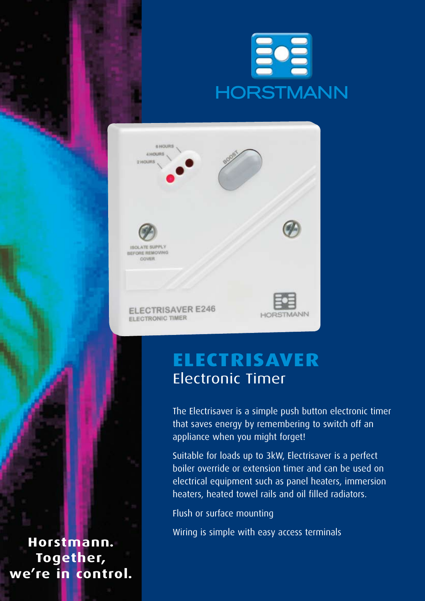



## **Electrisaver**  Electronic Timer

The Electrisaver is a simple push button electronic timer that saves energy by remembering to switch off an appliance when you might forget!

Suitable for loads up to 3kW, Electrisaver is a perfect boiler override or extension timer and can be used on electrical equipment such as panel heaters, immersion heaters, heated towel rails and oil filled radiators.

Flush or surface mounting

Wiring is simple with easy access terminals

**Horstmann. Together, we're in control.**